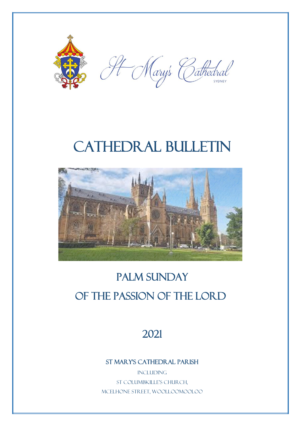

H Mary's Cathedral

# CATHEDRAL BULLETIN



## PALM SUNDAY OF THE passion of the lord

### 2021

St Mary's Cathedral Parish

**INCLUDING** St Columbkille's Church, McElhone Street, Woolloomooloo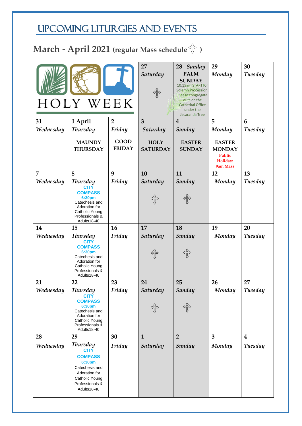### UPCOMING LITURGIES AND EVENTS

## **March - April 2021 (regular Mass schedule )**

| HOLY WEEK      |                                                                                                                                                   |                              | 27<br>Saturday                 | 28 Sunday<br><b>PALM</b><br><b>SUNDAY</b><br>10:15am START for<br>Solemn Procession.<br>Please congregate<br>outside the<br><b>Cathedral Office</b><br>under the<br>Jacaranda Tree | 29<br>Monday                             | 30<br><b>Tuesday</b> |
|----------------|---------------------------------------------------------------------------------------------------------------------------------------------------|------------------------------|--------------------------------|------------------------------------------------------------------------------------------------------------------------------------------------------------------------------------|------------------------------------------|----------------------|
| 31             | 1 April                                                                                                                                           | $\overline{2}$               | $\overline{3}$                 | $\overline{4}$                                                                                                                                                                     | 5                                        | 6                    |
| Wednesday      | <b>Thursday</b>                                                                                                                                   | Friday                       | Saturday                       | Sunday                                                                                                                                                                             | Monday                                   | Tuesday              |
|                | <b>MAUNDY</b><br><b>THURSDAY</b>                                                                                                                  | <b>GOOD</b><br><b>FRIDAY</b> | <b>HOLY</b><br><b>SATURDAY</b> | <b>EASTER</b><br><b>SUNDAY</b>                                                                                                                                                     | <b>EASTER</b><br><b>MONDAY</b><br>Public |                      |
|                |                                                                                                                                                   |                              |                                |                                                                                                                                                                                    | Holiday:<br>9am Mass                     |                      |
| $\overline{7}$ | 8                                                                                                                                                 | 9                            | 10                             | 11                                                                                                                                                                                 | 12                                       | 13                   |
| Wednesday      | <b>Thursday</b>                                                                                                                                   | Friday                       | Saturday                       | Sunday                                                                                                                                                                             | Monday                                   | Tuesday              |
|                | <b>CITY</b><br><b>COMPASS</b><br>6:30pm<br>Catechesis and<br>Adoration for<br>Catholic Young<br>Professionals &<br>Adults18-40                    |                              |                                | ကြီး                                                                                                                                                                               |                                          |                      |
| 14             | 15                                                                                                                                                | 16                           | 17                             | 18                                                                                                                                                                                 | 19                                       | 20                   |
| Wednesday      | <b>Thursday</b><br><b>CITY</b><br><b>COMPASS</b><br>6:30pm<br>Catechesis and<br>Adoration for<br>Catholic Young<br>Professionals &<br>Adults18-40 | Friday                       | Saturday                       | Sunday                                                                                                                                                                             | Monday                                   | <b>Tuesday</b>       |
| 21             | 22                                                                                                                                                | 23                           | 24                             | 25                                                                                                                                                                                 | 26                                       | 27                   |
| Wednesday      | <b>Thursday</b><br><b>CITY</b><br><b>COMPASS</b><br>6:30pm<br>Catechesis and<br>Adoration for<br>Catholic Young<br>Professionals &<br>Adults18-40 | Friday                       | Saturday                       | Sunday                                                                                                                                                                             | Monday                                   | <b>Tuesday</b>       |
| 28             | 29                                                                                                                                                | 30                           | $\mathbf{1}$                   | $\overline{2}$                                                                                                                                                                     | $\overline{\mathbf{3}}$                  | $\boldsymbol{4}$     |
| Wednesday      | <b>Thursday</b><br><b>CITY</b><br><b>COMPASS</b><br>6:30pm<br>Catechesis and<br>Adoration for<br>Catholic Young<br>Professionals &<br>Adults18-40 | Friday                       | Saturday                       | Sunday                                                                                                                                                                             | Monday                                   | <b>Tuesday</b>       |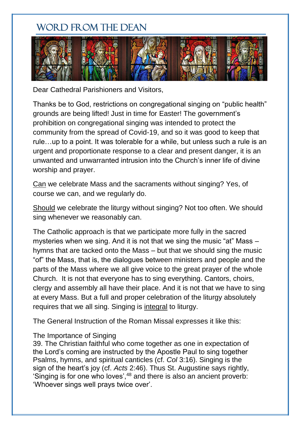### WORD FROM THE DEAN



Dear Cathedral Parishioners and Visitors,

Thanks be to God, restrictions on congregational singing on "public health" grounds are being lifted! Just in time for Easter! The government's prohibition on congregational singing was intended to protect the community from the spread of Covid-19, and so it was good to keep that rule…up to a point. It was tolerable for a while, but unless such a rule is an urgent and proportionate response to a clear and present danger, it is an unwanted and unwarranted intrusion into the Church's inner life of divine worship and prayer.

Can we celebrate Mass and the sacraments without singing? Yes, of course we can, and we regularly do.

Should we celebrate the liturgy without singing? Not too often. We should sing whenever we reasonably can.

The Catholic approach is that we participate more fully in the sacred mysteries when we sing. And it is not that we sing the music "at" Mass – hymns that are tacked onto the Mass – but that we should sing the music "of" the Mass, that is, the dialogues between ministers and people and the parts of the Mass where we all give voice to the great prayer of the whole Church. It is not that everyone has to sing everything. Cantors, choirs, clergy and assembly all have their place. And it is not that we have to sing at every Mass. But a full and proper celebration of the liturgy absolutely requires that we all sing. Singing is integral to liturgy.

The General Instruction of the Roman Missal expresses it like this:

#### The Importance of Singing

39. The Christian faithful who come together as one in expectation of the Lord's coming are instructed by the Apostle Paul to sing together Psalms, hymns, and spiritual canticles (cf. *Col* 3:16). Singing is the sign of the heart's joy (cf. *Acts* 2:46). Thus St. Augustine says rightly, 'Singing is for one who loves',<sup>48</sup> and there is also an ancient proverb: 'Whoever sings well prays twice over'.